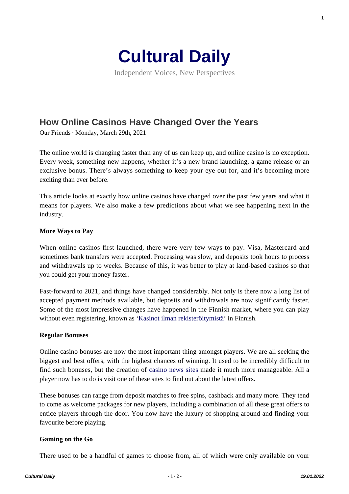

Independent Voices, New Perspectives

# **[How Online Casinos Have Changed Over the Years](https://culturaldaily.com/how-online-casinos-have-changed-over-the-years/)**

Our Friends · Monday, March 29th, 2021

The online world is changing faster than any of us can keep up, and online casino is no exception. Every week, something new happens, whether it's a new brand launching, a game release or an exclusive bonus. There's always something to keep your eye out for, and it's becoming more exciting than ever before.

This article looks at exactly how online casinos have changed over the past few years and what it means for players. We also make a few predictions about what we see happening next in the industry.

### **More Ways to Pay**

When online casinos first launched, there were very few ways to pay. Visa, Mastercard and sometimes bank transfers were accepted. Processing was slow, and deposits took hours to process and withdrawals up to weeks. Because of this, it was better to play at land-based casinos so that you could get your money faster.

Fast-forward to 2021, and things have changed considerably. Not only is there now a long list of accepted payment methods available, but deposits and withdrawals are now significantly faster. Some of the most impressive changes have happened in the Finnish market, where you can play without even registering, known as ['Kasinot ilman rekisteröitymistä'](https://nettikasinotkuninkaat.com/nettikasinot-ilman-rekisteroitymista/) in Finnish.

#### **Regular Bonuses**

Online casino bonuses are now the most important thing amongst players. We are all seeking the biggest and best offers, with the highest chances of winning. It used to be incredibly difficult to find such bonuses, but the creation of [casino news sites](http://kasinouutisetsuomi.fi/) made it much more manageable. All a player now has to do is visit one of these sites to find out about the latest offers.

These bonuses can range from deposit matches to free spins, cashback and many more. They tend to come as welcome packages for new players, including a combination of all these great offers to entice players through the door. You now have the luxury of shopping around and finding your favourite before playing.

## **Gaming on the Go**

There used to be a handful of games to choose from, all of which were only available on your

**1**